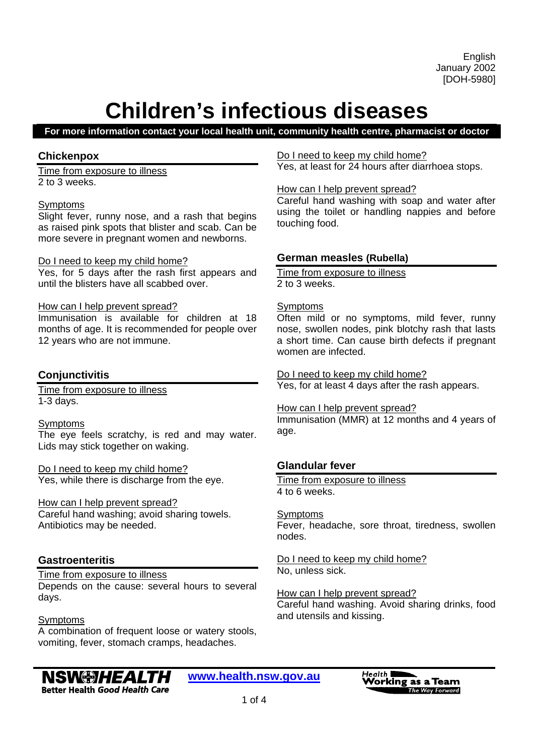#### **For more information contact your local health unit, community health centre, pharmacist or doctor**

#### **Chickenpox**

Time from exposure to illness 2 to 3 weeks.

#### Symptoms

Slight fever, runny nose, and a rash that begins as raised pink spots that blister and scab. Can be more severe in pregnant women and newborns.

#### Do I need to keep my child home?

Yes, for 5 days after the rash first appears and until the blisters have all scabbed over.

#### How can I help prevent spread?

Immunisation is available for children at 18 months of age. It is recommended for people over 12 years who are not immune.

#### **Conjunctivitis**

Time from exposure to illness 1-3 days.

#### Symptoms

The eye feels scratchy, is red and may water. Lids may stick together on waking.

Do I need to keep my child home? Yes, while there is discharge from the eye.

#### How can I help prevent spread?

Careful hand washing; avoid sharing towels. Antibiotics may be needed.

#### **Gastroenteritis**

#### Time from exposure to illness Depends on the cause: several hours to several days.

Symptoms

A combination of frequent loose or watery stools, vomiting, fever, stomach cramps, headaches.

#### Do I need to keep my child home?

Yes, at least for 24 hours after diarrhoea stops.

#### How can I help prevent spread?

Careful hand washing with soap and water after using the toilet or handling nappies and before touching food.

#### **German measles (Rubella)**

Time from exposure to illness 2 to 3 weeks.

#### **Symptoms**

Often mild or no symptoms, mild fever, runny nose, swollen nodes, pink blotchy rash that lasts a short time. Can cause birth defects if pregnant women are infected.

Do I need to keep my child home? Yes, for at least 4 days after the rash appears.

#### How can I help prevent spread?

Immunisation (MMR) at 12 months and 4 years of age.

#### **Glandular fever**

Time from exposure to illness 4 to 6 weeks.

#### Symptoms

Fever, headache, sore throat, tiredness, swollen nodes.

Do I need to keep my child home? No, unless sick.

#### How can I help prevent spread?

Careful hand washing. Avoid sharing drinks, food and utensils and kissing.

#### **NSW#JHEALTH Better Health Good Health Care**

**www.health.nsw.gov.au**

Health **I Vorking as a Team** The Way Forward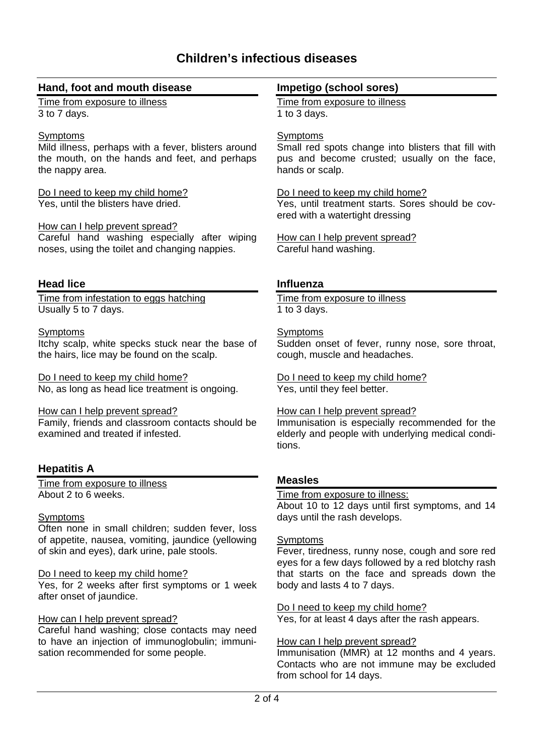# **Hand, foot and mouth disease**

Time from exposure to illness 3 to 7 days.

#### **Symptoms**

Mild illness, perhaps with a fever, blisters around the mouth, on the hands and feet, and perhaps the nappy area.

#### Do I need to keep my child home? Yes, until the blisters have dried.

#### How can I help prevent spread?

Careful hand washing especially after wiping noses, using the toilet and changing nappies.

# **Head lice**

Time from infestation to eggs hatching Usually 5 to 7 days.

#### **Symptoms**

Itchy scalp, white specks stuck near the base of the hairs, lice may be found on the scalp.

Do I need to keep my child home? No, as long as head lice treatment is ongoing.

How can I help prevent spread?

Family, friends and classroom contacts should be examined and treated if infested.

# **Hepatitis A**

Time from exposure to illness About 2 to 6 weeks.

#### **Symptoms**

Often none in small children; sudden fever, loss of appetite, nausea, vomiting, jaundice (yellowing of skin and eyes), dark urine, pale stools.

#### Do I need to keep my child home?

Yes, for 2 weeks after first symptoms or 1 week after onset of jaundice.

## How can I help prevent spread?

Careful hand washing; close contacts may need to have an injection of immunoglobulin; immunisation recommended for some people.

## **Impetigo (school sores)**

Time from exposure to illness 1 to 3 days.

# **Symptoms**

Small red spots change into blisters that fill with pus and become crusted; usually on the face, hands or scalp.

#### Do I need to keep my child home?

Yes, until treatment starts. Sores should be covered with a watertight dressing

How can I help prevent spread? Careful hand washing.

# **Influenza**

Time from exposure to illness 1 to 3 days.

# **Symptoms**

Sudden onset of fever, runny nose, sore throat, cough, muscle and headaches.

Do I need to keep my child home? Yes, until they feel better.

#### How can I help prevent spread?

Immunisation is especially recommended for the elderly and people with underlying medical conditions.

# **Measles**

#### Time from exposure to illness:

About 10 to 12 days until first symptoms, and 14 days until the rash develops.

#### Symptoms

Fever, tiredness, runny nose, cough and sore red eyes for a few days followed by a red blotchy rash that starts on the face and spreads down the body and lasts 4 to 7 days.

Do I need to keep my child home?

Yes, for at least 4 days after the rash appears.

#### How can I help prevent spread?

Immunisation (MMR) at 12 months and 4 years. Contacts who are not immune may be excluded from school for 14 days.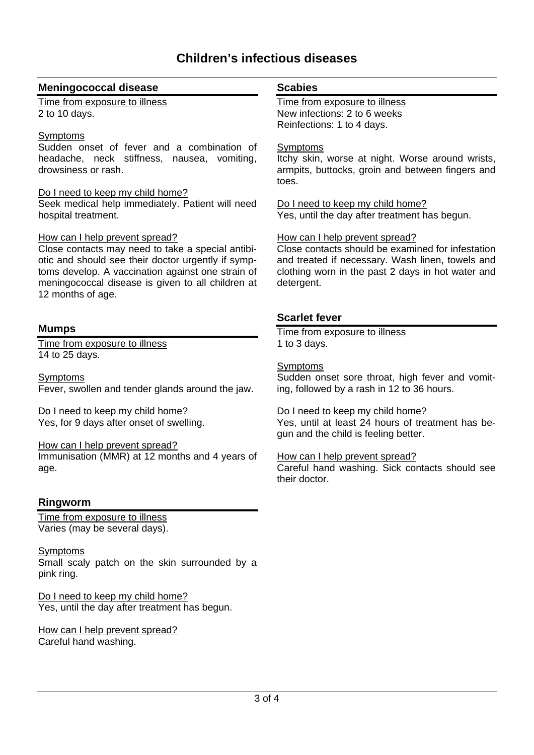# **Meningococcal disease**

Time from exposure to illness 2 to 10 days.

# **Symptoms**

Sudden onset of fever and a combination of headache, neck stiffness, nausea, vomiting, drowsiness or rash.

#### Do I need to keep my child home?

Seek medical help immediately. Patient will need hospital treatment.

#### How can I help prevent spread?

Close contacts may need to take a special antibiotic and should see their doctor urgently if symptoms develop. A vaccination against one strain of meningococcal disease is given to all children at 12 months of age.

# **Mumps**

Time from exposure to illness 14 to 25 days.

Symptoms Fever, swollen and tender glands around the jaw.

Do I need to keep my child home? Yes, for 9 days after onset of swelling.

#### How can I help prevent spread?

Immunisation (MMR) at 12 months and 4 years of age.

# **Ringworm**

Time from exposure to illness Varies (may be several days).

Symptoms Small scaly patch on the skin surrounded by a pink ring.

Do I need to keep my child home? Yes, until the day after treatment has begun.

How can I help prevent spread? Careful hand washing.

#### **Scabies**

Time from exposure to illness New infections: 2 to 6 weeks Reinfections: 1 to 4 days.

#### Symptoms

Itchy skin, worse at night. Worse around wrists, armpits, buttocks, groin and between fingers and toes.

Do I need to keep my child home? Yes, until the day after treatment has begun.

#### How can I help prevent spread?

Close contacts should be examined for infestation and treated if necessary. Wash linen, towels and clothing worn in the past 2 days in hot water and detergent.

# **Scarlet fever**

Time from exposure to illness 1 to 3 days.

#### **Symptoms**

Sudden onset sore throat, high fever and vomiting, followed by a rash in 12 to 36 hours.

#### Do I need to keep my child home?

Yes, until at least 24 hours of treatment has begun and the child is feeling better.

#### How can I help prevent spread?

Careful hand washing. Sick contacts should see their doctor.